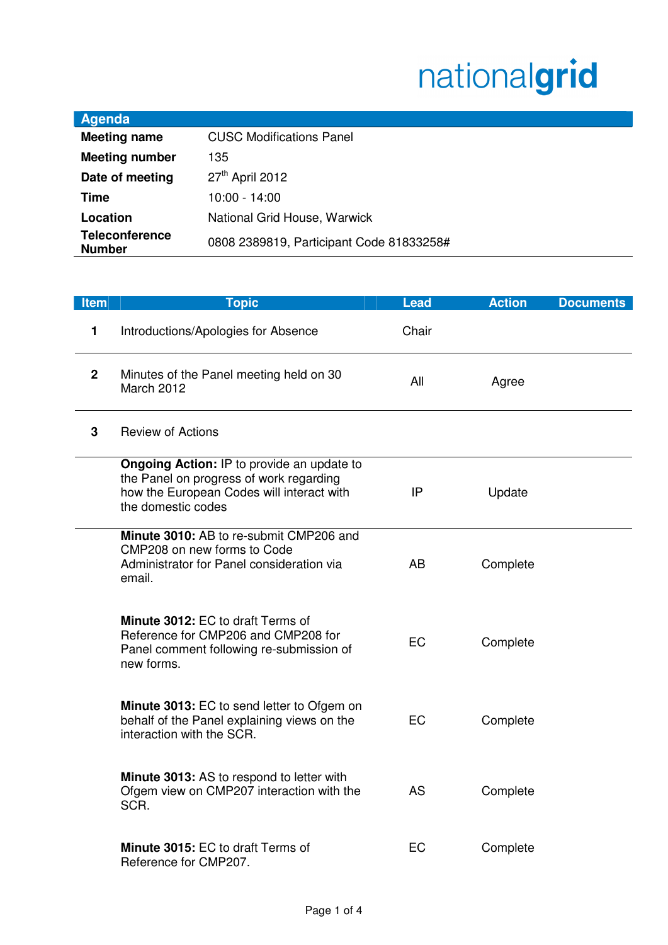## nationalgrid

×,

| Agenda                                 |                                          |
|----------------------------------------|------------------------------------------|
| <b>Meeting name</b>                    | <b>CUSC Modifications Panel</b>          |
| <b>Meeting number</b>                  | 135                                      |
| Date of meeting                        | 27 <sup>th</sup> April 2012              |
| <b>Time</b>                            | 10:00 - 14:00                            |
| Location                               | National Grid House, Warwick             |
| <b>Teleconference</b><br><b>Number</b> | 0808 2389819, Participant Code 81833258# |

| <b>Item</b>  | <b>Topic</b>                                                                                                                                                    | <b>Lead</b> | <b>Action</b> | <b>Documents</b> |
|--------------|-----------------------------------------------------------------------------------------------------------------------------------------------------------------|-------------|---------------|------------------|
| 1            | Introductions/Apologies for Absence                                                                                                                             | Chair       |               |                  |
| $\mathbf{2}$ | Minutes of the Panel meeting held on 30<br>March 2012                                                                                                           | All         | Agree         |                  |
| 3            | <b>Review of Actions</b>                                                                                                                                        |             |               |                  |
|              | <b>Ongoing Action: IP to provide an update to</b><br>the Panel on progress of work regarding<br>how the European Codes will interact with<br>the domestic codes | IP          | Update        |                  |
|              | Minute 3010: AB to re-submit CMP206 and<br>CMP208 on new forms to Code<br>Administrator for Panel consideration via<br>email.                                   | AB          | Complete      |                  |
|              | Minute 3012: EC to draft Terms of<br>Reference for CMP206 and CMP208 for<br>Panel comment following re-submission of<br>new forms.                              | EC          | Complete      |                  |
|              | <b>Minute 3013: EC to send letter to Ofgem on</b><br>behalf of the Panel explaining views on the<br>interaction with the SCR.                                   | EC          | Complete      |                  |
|              | Minute 3013: AS to respond to letter with<br>Ofgem view on CMP207 interaction with the<br>SCR.                                                                  | <b>AS</b>   | Complete      |                  |
|              | Minute 3015: EC to draft Terms of<br>Reference for CMP207.                                                                                                      | EC          | Complete      |                  |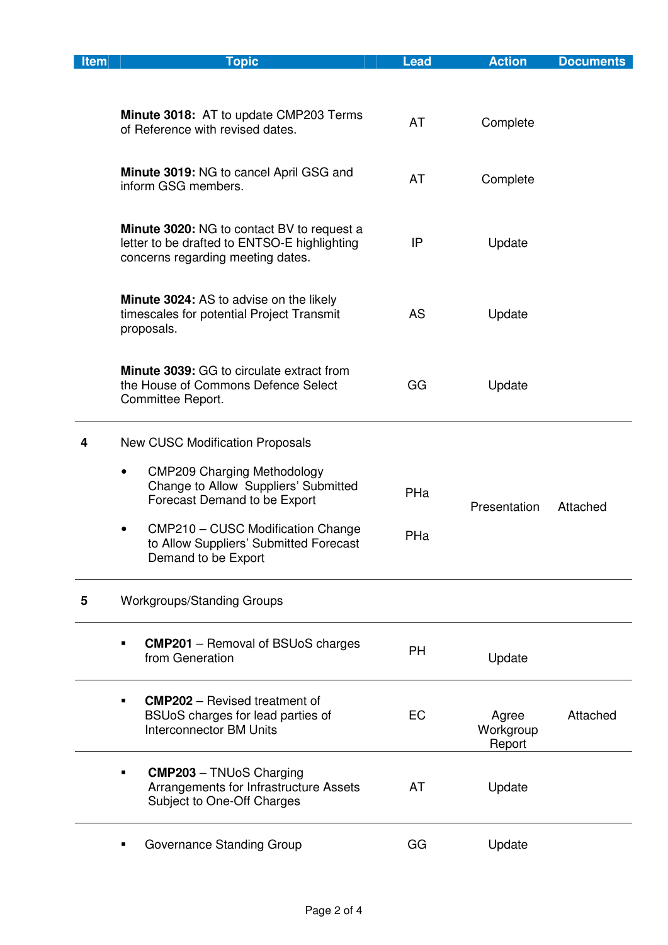| <b>Item</b> | <b>Topic</b>                                                                                                                           | <b>Lead</b> | <b>Action</b>                | <b>Documents</b> |
|-------------|----------------------------------------------------------------------------------------------------------------------------------------|-------------|------------------------------|------------------|
|             | <b>Minute 3018:</b> AT to update CMP203 Terms<br>of Reference with revised dates.                                                      | AT          | Complete                     |                  |
|             | Minute 3019: NG to cancel April GSG and<br>inform GSG members.                                                                         | AT          | Complete                     |                  |
|             | <b>Minute 3020:</b> NG to contact BV to request a<br>letter to be drafted to ENTSO-E highlighting<br>concerns regarding meeting dates. | IP          | Update                       |                  |
|             | <b>Minute 3024: AS to advise on the likely</b><br>timescales for potential Project Transmit<br>proposals.                              | AS          | Update                       |                  |
|             | <b>Minute 3039: GG to circulate extract from</b><br>the House of Commons Defence Select<br>Committee Report.                           | GG          | Update                       |                  |
| 4           | <b>New CUSC Modification Proposals</b>                                                                                                 |             |                              |                  |
|             | <b>CMP209 Charging Methodology</b><br>٠<br>Change to Allow Suppliers' Submitted<br>Forecast Demand to be Export                        | PHa         | Presentation                 | Attached         |
|             | CMP210 - CUSC Modification Change<br>$\bullet$<br>to Allow Suppliers' Submitted Forecast<br>Demand to be Export                        | PHa         |                              |                  |
| 5           | <b>Workgroups/Standing Groups</b>                                                                                                      |             |                              |                  |
|             | <b>CMP201</b> – Removal of BSUoS charges<br>from Generation                                                                            | PH          | Update                       |                  |
|             | <b>CMP202</b> – Revised treatment of<br>Е<br>BSUoS charges for lead parties of<br><b>Interconnector BM Units</b>                       | EC          | Agree<br>Workgroup<br>Report | Attached         |
|             | <b>CMP203</b> - TNUoS Charging<br>Arrangements for Infrastructure Assets<br>Subject to One-Off Charges                                 | AT          | Update                       |                  |
|             | Governance Standing Group                                                                                                              | GG          | Update                       |                  |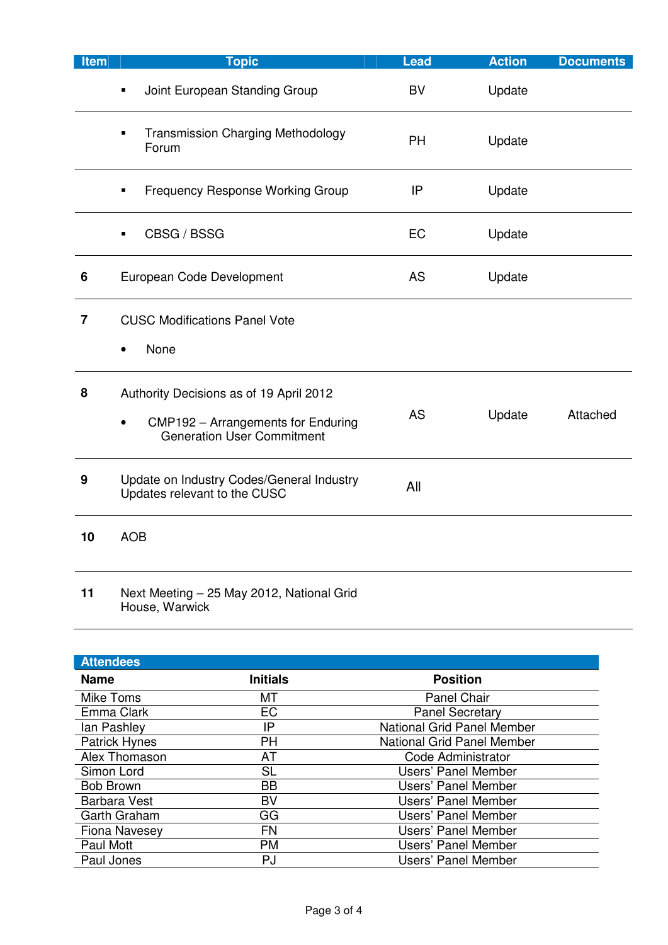| Item           | <b>Topic</b>                                                                                                                    | <b>Lead</b> | <b>Action</b> | <b>Documents</b> |
|----------------|---------------------------------------------------------------------------------------------------------------------------------|-------------|---------------|------------------|
|                | Joint European Standing Group                                                                                                   | BV          | Update        |                  |
|                | <b>Transmission Charging Methodology</b><br>Forum                                                                               | PH          | Update        |                  |
|                | <b>Frequency Response Working Group</b><br>$\blacksquare$                                                                       | IP          | Update        |                  |
|                | CBSG / BSSG                                                                                                                     | EC          | Update        |                  |
| 6              | European Code Development                                                                                                       | AS          | Update        |                  |
| $\overline{7}$ | <b>CUSC Modifications Panel Vote</b><br>None<br>$\bullet$                                                                       |             |               |                  |
| 8              | Authority Decisions as of 19 April 2012<br>CMP192 - Arrangements for Enduring<br>$\bullet$<br><b>Generation User Commitment</b> | <b>AS</b>   | Update        | Attached         |
| 9              | Update on Industry Codes/General Industry<br>Updates relevant to the CUSC                                                       | All         |               |                  |
| 10             | <b>AOB</b>                                                                                                                      |             |               |                  |
| 11             | Next Meeting - 25 May 2012, National Grid                                                                                       |             |               |                  |

House, Warwick

| <b>Attendees</b>     |                 |                                   |
|----------------------|-----------------|-----------------------------------|
| <b>Name</b>          | <b>Initials</b> | <b>Position</b>                   |
| Mike Toms            | МT              | <b>Panel Chair</b>                |
| Emma Clark           | EC              | <b>Panel Secretary</b>            |
| lan Pashley          | IP              | <b>National Grid Panel Member</b> |
| Patrick Hynes        | PH              | <b>National Grid Panel Member</b> |
| Alex Thomason        | <b>AT</b>       | Code Administrator                |
| Simon Lord           | <b>SL</b>       | <b>Users' Panel Member</b>        |
| <b>Bob Brown</b>     | <b>BB</b>       | Users' Panel Member               |
| <b>Barbara Vest</b>  | BV              | <b>Users' Panel Member</b>        |
| <b>Garth Graham</b>  | GG              | Users' Panel Member               |
| <b>Fiona Navesey</b> | <b>FN</b>       | <b>Users' Panel Member</b>        |
| Paul Mott            | <b>PM</b>       | <b>Users' Panel Member</b>        |
| Paul Jones           | PJ              | Users' Panel Member               |